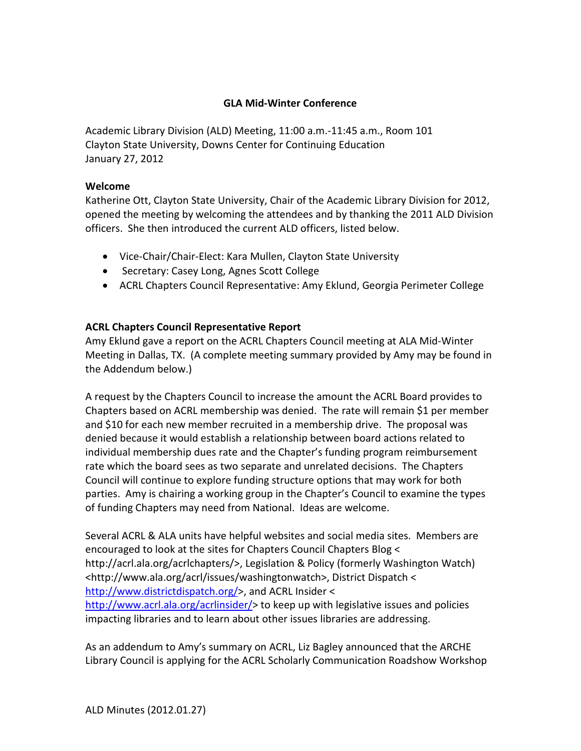### **GLA Mid-Winter Conference**

Academic Library Division (ALD) Meeting, 11:00 a.m.-11:45 a.m., Room 101 Clayton State University, Downs Center for Continuing Education January 27, 2012

### **Welcome**

Katherine Ott, Clayton State University, Chair of the Academic Library Division for 2012, opened the meeting by welcoming the attendees and by thanking the 2011 ALD Division officers. She then introduced the current ALD officers, listed below.

- Vice-Chair/Chair-Elect: Kara Mullen, Clayton State University
- Secretary: Casey Long, Agnes Scott College
- ACRL Chapters Council Representative: Amy Eklund, Georgia Perimeter College

# **ACRL Chapters Council Representative Report**

Amy Eklund gave a report on the ACRL Chapters Council meeting at ALA Mid-Winter Meeting in Dallas, TX. (A complete meeting summary provided by Amy may be found in the Addendum below.)

A request by the Chapters Council to increase the amount the ACRL Board provides to Chapters based on ACRL membership was denied. The rate will remain \$1 per member and \$10 for each new member recruited in a membership drive. The proposal was denied because it would establish a relationship between board actions related to individual membership dues rate and the Chapter's funding program reimbursement rate which the board sees as two separate and unrelated decisions. The Chapters Council will continue to explore funding structure options that may work for both parties. Amy is chairing a working group in the Chapter's Council to examine the types of funding Chapters may need from National. Ideas are welcome.

Several ACRL & ALA units have helpful websites and social media sites. Members are encouraged to look at the sites for Chapters Council Chapters Blog < http://acrl.ala.org/acrlchapters/>, Legislation & Policy (formerly Washington Watch) <http://www.ala.org/acrl/issues/washingtonwatch>, District Dispatch < [http://www.districtdispatch.org/>](http://www.districtdispatch.org/), and ACRL Insider < [http://www.acrl.ala.org/acrlinsider/>](http://www.acrl.ala.org/acrlinsider/) to keep up with legislative issues and policies impacting libraries and to learn about other issues libraries are addressing.

As an addendum to Amy's summary on ACRL, Liz Bagley announced that the ARCHE Library Council is applying for the ACRL Scholarly Communication Roadshow Workshop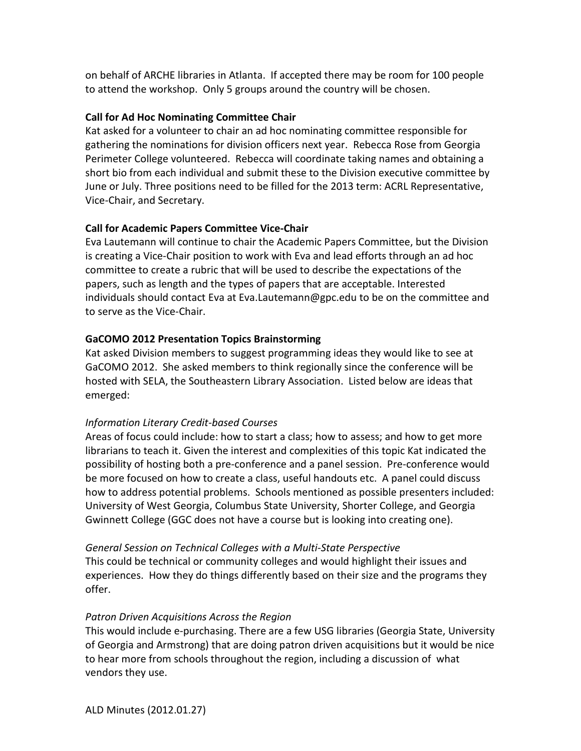on behalf of ARCHE libraries in Atlanta. If accepted there may be room for 100 people to attend the workshop. Only 5 groups around the country will be chosen.

## **Call for Ad Hoc Nominating Committee Chair**

Kat asked for a volunteer to chair an ad hoc nominating committee responsible for gathering the nominations for division officers next year. Rebecca Rose from Georgia Perimeter College volunteered. Rebecca will coordinate taking names and obtaining a short bio from each individual and submit these to the Division executive committee by June or July. Three positions need to be filled for the 2013 term: ACRL Representative, Vice-Chair, and Secretary.

# **Call for Academic Papers Committee Vice-Chair**

Eva Lautemann will continue to chair the Academic Papers Committee, but the Division is creating a Vice-Chair position to work with Eva and lead efforts through an ad hoc committee to create a rubric that will be used to describe the expectations of the papers, such as length and the types of papers that are acceptable. Interested individuals should contact Eva at Eva.Lautemann@gpc.edu to be on the committee and to serve as the Vice-Chair.

# **GaCOMO 2012 Presentation Topics Brainstorming**

Kat asked Division members to suggest programming ideas they would like to see at GaCOMO 2012. She asked members to think regionally since the conference will be hosted with SELA, the Southeastern Library Association. Listed below are ideas that emerged:

# *Information Literary Credit-based Courses*

Areas of focus could include: how to start a class; how to assess; and how to get more librarians to teach it. Given the interest and complexities of this topic Kat indicated the possibility of hosting both a pre-conference and a panel session. Pre-conference would be more focused on how to create a class, useful handouts etc. A panel could discuss how to address potential problems. Schools mentioned as possible presenters included: University of West Georgia, Columbus State University, Shorter College, and Georgia Gwinnett College (GGC does not have a course but is looking into creating one).

#### *General Session on Technical Colleges with a Multi-State Perspective*

This could be technical or community colleges and would highlight their issues and experiences. How they do things differently based on their size and the programs they offer.

# *Patron Driven Acquisitions Across the Region*

This would include e-purchasing. There are a few USG libraries (Georgia State, University of Georgia and Armstrong) that are doing patron driven acquisitions but it would be nice to hear more from schools throughout the region, including a discussion of what vendors they use.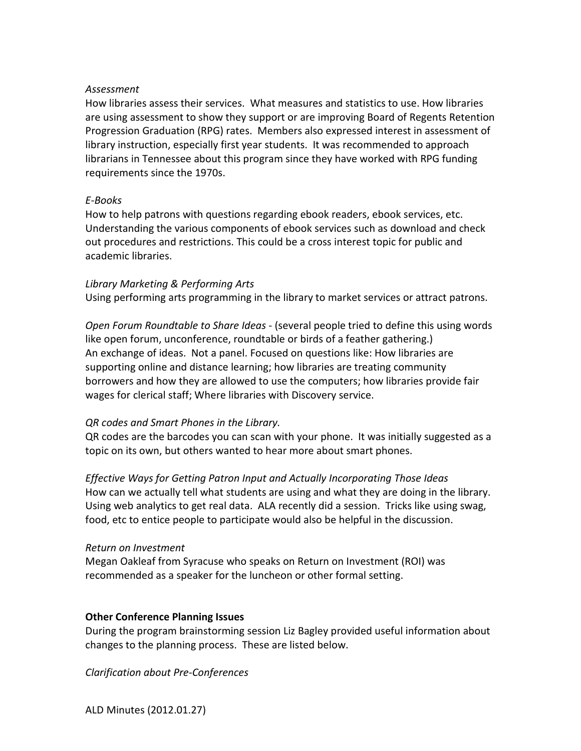#### *Assessment*

How libraries assess their services. What measures and statistics to use. How libraries are using assessment to show they support or are improving Board of Regents Retention Progression Graduation (RPG) rates. Members also expressed interest in assessment of library instruction, especially first year students. It was recommended to approach librarians in Tennessee about this program since they have worked with RPG funding requirements since the 1970s.

#### *E-Books*

How to help patrons with questions regarding ebook readers, ebook services, etc. Understanding the various components of ebook services such as download and check out procedures and restrictions. This could be a cross interest topic for public and academic libraries.

#### *Library Marketing & Performing Arts*

Using performing arts programming in the library to market services or attract patrons.

*Open Forum Roundtable to Share Ideas* - (several people tried to define this using words like open forum, unconference, roundtable or birds of a feather gathering.) An exchange of ideas. Not a panel. Focused on questions like: How libraries are supporting online and distance learning; how libraries are treating community borrowers and how they are allowed to use the computers; how libraries provide fair wages for clerical staff; Where libraries with Discovery service.

#### *QR codes and Smart Phones in the Library.*

QR codes are the barcodes you can scan with your phone. It was initially suggested as a topic on its own, but others wanted to hear more about smart phones.

*Effective Ways for Getting Patron Input and Actually Incorporating Those Ideas* How can we actually tell what students are using and what they are doing in the library. Using web analytics to get real data. ALA recently did a session. Tricks like using swag, food, etc to entice people to participate would also be helpful in the discussion.

#### *Return on Investment*

Megan Oakleaf from Syracuse who speaks on Return on Investment (ROI) was recommended as a speaker for the luncheon or other formal setting.

#### **Other Conference Planning Issues**

During the program brainstorming session Liz Bagley provided useful information about changes to the planning process. These are listed below.

*Clarification about Pre-Conferences*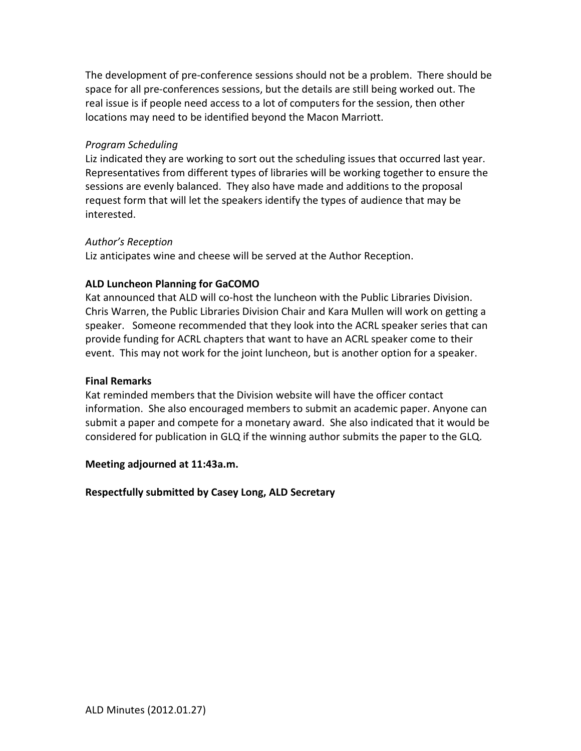The development of pre-conference sessions should not be a problem. There should be space for all pre-conferences sessions, but the details are still being worked out. The real issue is if people need access to a lot of computers for the session, then other locations may need to be identified beyond the Macon Marriott.

#### *Program Scheduling*

Liz indicated they are working to sort out the scheduling issues that occurred last year. Representatives from different types of libraries will be working together to ensure the sessions are evenly balanced. They also have made and additions to the proposal request form that will let the speakers identify the types of audience that may be interested.

#### *Author's Reception*

Liz anticipates wine and cheese will be served at the Author Reception.

#### **ALD Luncheon Planning for GaCOMO**

Kat announced that ALD will co-host the luncheon with the Public Libraries Division. Chris Warren, the Public Libraries Division Chair and Kara Mullen will work on getting a speaker. Someone recommended that they look into the ACRL speaker series that can provide funding for ACRL chapters that want to have an ACRL speaker come to their event. This may not work for the joint luncheon, but is another option for a speaker.

#### **Final Remarks**

Kat reminded members that the Division website will have the officer contact information. She also encouraged members to submit an academic paper. Anyone can submit a paper and compete for a monetary award. She also indicated that it would be considered for publication in GLQ if the winning author submits the paper to the GLQ.

#### **Meeting adjourned at 11:43a.m.**

#### **Respectfully submitted by Casey Long, ALD Secretary**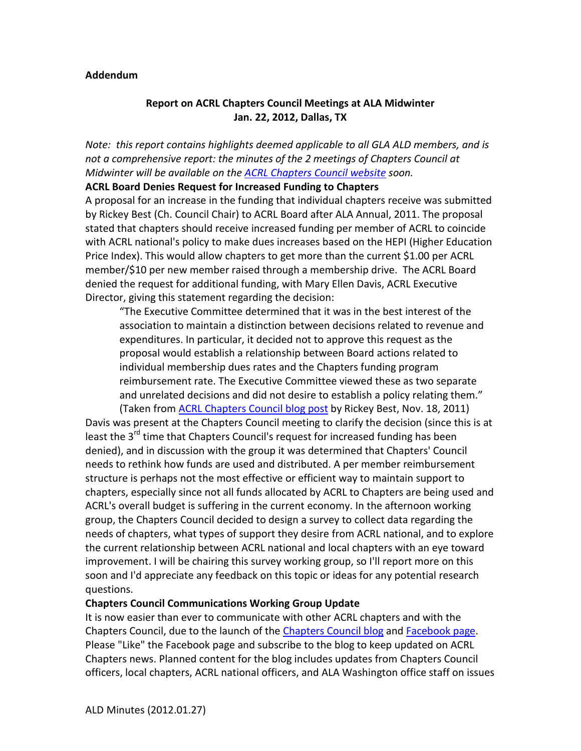#### **Addendum**

# **Report on ACRL Chapters Council Meetings at ALA Midwinter Jan. 22, 2012, Dallas, TX**

*Note: this report contains highlights deemed applicable to all GLA ALD members, and is not a comprehensive report: the minutes of the 2 meetings of Chapters Council at Midwinter will be available on the [ACRL Chapters Council website](http://www.ala.org/acrl/aboutacrl/directoryofleadership/chapters/minutes) soon.*

#### **ACRL Board Denies Request for Increased Funding to Chapters**

A proposal for an increase in the funding that individual chapters receive was submitted by Rickey Best (Ch. Council Chair) to ACRL Board after ALA Annual, 2011. The proposal stated that chapters should receive increased funding per member of ACRL to coincide with ACRL national's policy to make dues increases based on the HEPI (Higher Education Price Index). This would allow chapters to get more than the current \$1.00 per ACRL member/\$10 per new member raised through a membership drive. The ACRL Board denied the request for additional funding, with Mary Ellen Davis, ACRL Executive Director, giving this statement regarding the decision:

"The Executive Committee determined that it was in the best interest of the association to maintain a distinction between decisions related to revenue and expenditures. In particular, it decided not to approve this request as the proposal would establish a relationship between Board actions related to individual membership dues rates and the Chapters funding program reimbursement rate. The Executive Committee viewed these as two separate and unrelated decisions and did not desire to establish a policy relating them." (Taken from [ACRL Chapters Council blog post](http://acrl.ala.org/acrlchapters/?p=77) by Rickey Best, Nov. 18, 2011)

Davis was present at the Chapters Council meeting to clarify the decision (since this is at least the 3<sup>rd</sup> time that Chapters Council's request for increased funding has been denied), and in discussion with the group it was determined that Chapters' Council needs to rethink how funds are used and distributed. A per member reimbursement structure is perhaps not the most effective or efficient way to maintain support to chapters, especially since not all funds allocated by ACRL to Chapters are being used and ACRL's overall budget is suffering in the current economy. In the afternoon working group, the Chapters Council decided to design a survey to collect data regarding the needs of chapters, what types of support they desire from ACRL national, and to explore the current relationship between ACRL national and local chapters with an eye toward improvement. I will be chairing this survey working group, so I'll report more on this soon and I'd appreciate any feedback on this topic or ideas for any potential research questions.

#### **Chapters Council Communications Working Group Update**

It is now easier than ever to communicate with other ACRL chapters and with the Chapters Council, due to the launch of the [Chapters Council blog](http://acrl.ala.org/acrlchapters/) and [Facebook page.](http://www.facebook.com/ACRLChaptersCouncil) Please "Like" the Facebook page and subscribe to the blog to keep updated on ACRL Chapters news. Planned content for the blog includes updates from Chapters Council officers, local chapters, ACRL national officers, and ALA Washington office staff on issues